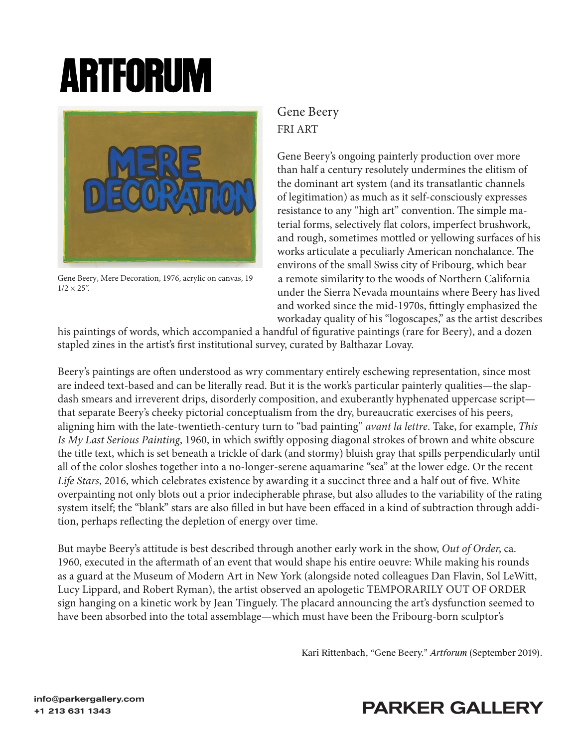## **ARTFORUM**



 $1/2 \times 25$ ".

## Gene Beery FRI ART

Gene Beery's ongoing painterly production over more than half a century resolutely undermines the elitism of the dominant art system (and its transatlantic channels of legitimation) as much as it self-consciously expresses resistance to any "high art" convention. The simple material forms, selectively flat colors, imperfect brushwork, and rough, sometimes mottled or yellowing surfaces of his works articulate a peculiarly American nonchalance. The environs of the small Swiss city of Fribourg, which bear Gene Beery, Mere Decoration, 1976, acrylic on canvas, 19 a remote similarity to the woods of Northern California under the Sierra Nevada mountains where Beery has lived and worked since the mid-1970s, fittingly emphasized the workaday quality of his "logoscapes," as the artist describes

his paintings of words, which accompanied a handful of figurative paintings (rare for Beery), and a dozen stapled zines in the artist's first institutional survey, curated by Balthazar Lovay.

Beery's paintings are often understood as wry commentary entirely eschewing representation, since most are indeed text-based and can be literally read. But it is the work's particular painterly qualities—the slapdash smears and irreverent drips, disorderly composition, and exuberantly hyphenated uppercase script that separate Beery's cheeky pictorial conceptualism from the dry, bureaucratic exercises of his peers, aligning him with the late-twentieth-century turn to "bad painting" *avant la lettre*. Take, for example, *This Is My Last Serious Painting*, 1960, in which swiftly opposing diagonal strokes of brown and white obscure the title text, which is set beneath a trickle of dark (and stormy) bluish gray that spills perpendicularly until all of the color sloshes together into a no-longer-serene aquamarine "sea" at the lower edge. Or the recent *Life Stars*, 2016, which celebrates existence by awarding it a succinct three and a half out of five. White overpainting not only blots out a prior indecipherable phrase, but also alludes to the variability of the rating system itself; the "blank" stars are also filled in but have been effaced in a kind of subtraction through addition, perhaps reflecting the depletion of energy over time.

But maybe Beery's attitude is best described through another early work in the show, *Out of Order*, ca. 1960, executed in the aftermath of an event that would shape his entire oeuvre: While making his rounds as a guard at the Museum of Modern Art in New York (alongside noted colleagues Dan Flavin, Sol LeWitt, Lucy Lippard, and Robert Ryman), the artist observed an apologetic TEMPORARILY OUT OF ORDER sign hanging on a kinetic work by Jean Tinguely. The placard announcing the art's dysfunction seemed to have been absorbed into the total assemblage—which must have been the Fribourg-born sculptor's

Kari Rittenbach, "Gene Beery." *Artforum* (September 2019).

## +1 213 631 1343<br>+1 213 631 1343